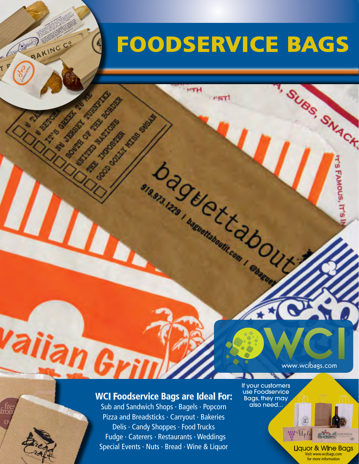## **FOODSERVICE BAGS**

**nst** 

**Dans DE EXERCITED OUT** 

**UTH** 

BAKING CO

**SOLUTION BOOM PASSAGE** 

**LANGARY RIVER** 

**Manufacture Report For Parties** 

**MITTED OF PRIDE BASE** 

**CONSTRUCTION** 

**CONSTRUCTION SECTION** 

**Contract Comments** 

## **Wallian Grimming Strates Inc.**

Sub and Sandwich Shops · Bagels · Popcorn Pizza and Breadsticks · Carryout · Bakeries Delis · Candy Shoppes · Food Trucks Fudge · Caterers · Restaurants · Weddings Special Events · Nuts · Bread · Wine & Liquor If your customers use Foodservice Bags, they may also need...

-2

Liquor & Wine Bags Visit www.wcibags.com for more information

www.wcibags.com

 $\mathfrak{F}$ 

 $\mathbf{m} \mathbf{q}$ 

**ASSISTER OF STRACT**